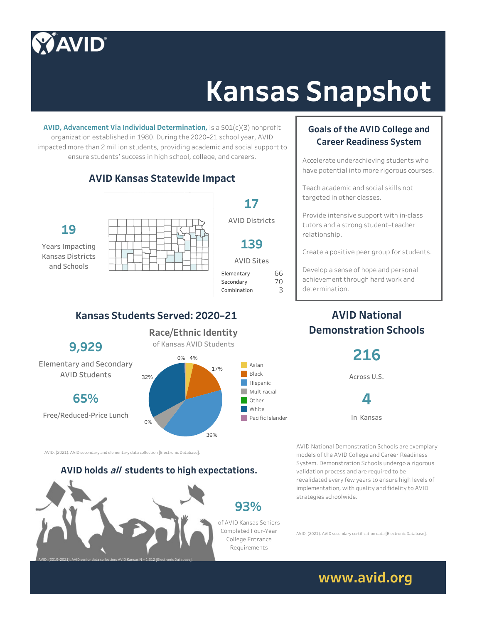## **AVID®**

# **Kansas Snapshot**

**AVID, Advancement Via Individual Determination,** is a 501(c)(3) nonprofit organization established in 1980. During the 2020–21 school year, AVID impacted more than 2 million students, providing academic and social support to ensure students' success in high school, college, and careers.

#### **AVID Kansas Statewide Impact**



**Years Impacting Kansas Districts and Schools**



**17**

**139**

70 66

#### **Kansas Students Served: 2020–21**

**9,929**

**Elementary and Secondary AVID Students**

**65%**

**Free/Reduced-Price Lunch**

0% 4% **Race/Ethnic Identity of Kansas AVID Students**



39%

AVID. (2021). AVID secondary and elementary data collection [Electronic Database].

#### **AVID holds all students to high expectations.**



#### **Goals of the AVID College and Career Readiness System**

Accelerate underachieving students who have potential into more rigorous courses.

Teach academic and social skills not targeted in other classes.

Provide intensive support with in-class tutors and a strong student–teacher relationship.

Create a positive peer group for students.

Develop a sense of hope and personal achievement through hard work and determination.

#### **AVID National Demonstration Schools**

**216**

**Across U.S.**

**4**

**In Kansas**

AVID National Demonstration Schools are exemplary models of the AVID College and Career Readiness System. Demonstration Schools undergo a rigorous validation process and are required to be revalidated every few years to ensure high levels of implementation, with quality and fidelity to AVID strategies schoolwide.

AVID. (2021). AVID secondary certification data [Electronic Database].

### **www.avid.org**